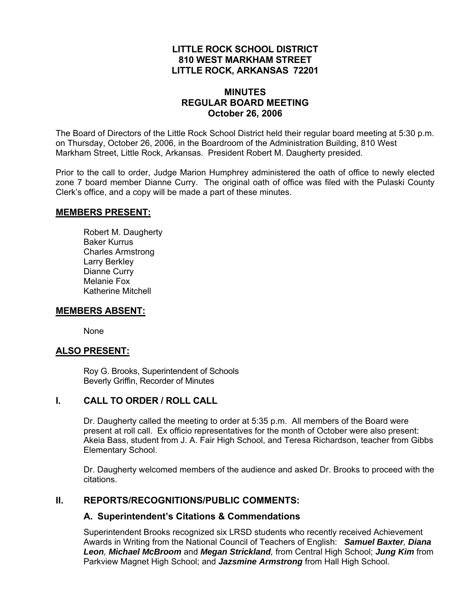## **LITTLE ROCK SCHOOL DISTRICT 810 WEST MARKHAM STREET LITTLE ROCK, ARKANSAS 72201**

#### **MINUTES REGULAR BOARD MEETING October 26, 2006**

The Board of Directors of the Little Rock School District held their regular board meeting at 5:30 p.m. on Thursday, October 26, 2006, in the Boardroom of the Administration Building, 810 West Markham Street, Little Rock, Arkansas. President Robert M. Daugherty presided.

Prior to the call to order, Judge Marion Humphrey administered the oath of office to newly elected zone 7 board member Dianne Curry. The original oath of office was filed with the Pulaski County Clerk's office, and a copy will be made a part of these minutes.

#### **MEMBERS PRESENT:**

Robert M. Daugherty Baker Kurrus Charles Armstrong Larry Berkley Dianne Curry Melanie Fox Katherine Mitchell

#### **MEMBERS ABSENT:**

None

#### **ALSO PRESENT:**

 Roy G. Brooks, Superintendent of Schools Beverly Griffin, Recorder of Minutes

#### **I. CALL TO ORDER / ROLL CALL**

Dr. Daugherty called the meeting to order at 5:35 p.m. All members of the Board were present at roll call. Ex officio representatives for the month of October were also present: Akeia Bass, student from J. A. Fair High School, and Teresa Richardson, teacher from Gibbs Elementary School.

Dr. Daugherty welcomed members of the audience and asked Dr. Brooks to proceed with the citations.

## **II. REPORTS/RECOGNITIONS/PUBLIC COMMENTS:**

#### **A. Superintendent's Citations & Commendations**

Superintendent Brooks recognized six LRSD students who recently received Achievement Awards in Writing from the National Council of Teachers of English: *Samuel Baxter, Diana Leon, Michael McBroom* and *Megan Strickland,* from Central High School; *Jung Kim* from Parkview Magnet High School; and *Jazsmine Armstrong* from Hall High School.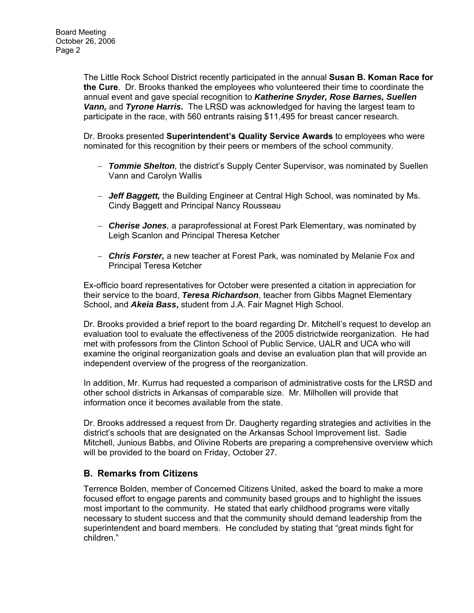The Little Rock School District recently participated in the annual **Susan B. Koman Race for the Cure**. Dr. Brooks thanked the employees who volunteered their time to coordinate the annual event and gave special recognition to *Katherine Snyder, Rose Barnes, Suellen Vann,* and *Tyrone Harris.* The LRSD was acknowledged for having the largest team to participate in the race, with 560 entrants raising \$11,495 for breast cancer research.

Dr. Brooks presented **Superintendent's Quality Service Awards** to employees who were nominated for this recognition by their peers or members of the school community.

- *Tommie Shelton,* the district's Supply Center Supervisor, was nominated by Suellen Vann and Carolyn Wallis
- *Jeff Baggett,* the Building Engineer at Central High School, was nominated by Ms. Cindy Baggett and Principal Nancy Rousseau
- *Cherise Jones,* a paraprofessional at Forest Park Elementary, was nominated by Leigh Scanlon and Principal Theresa Ketcher
- *Chris Forster,* a new teacher at Forest Park, was nominated by Melanie Fox and Principal Teresa Ketcher

Ex-officio board representatives for October were presented a citation in appreciation for their service to the board, *Teresa Richardson*, teacher from Gibbs Magnet Elementary School, and *Akeia Bass***,** student from J.A. Fair Magnet High School.

Dr. Brooks provided a brief report to the board regarding Dr. Mitchell's request to develop an evaluation tool to evaluate the effectiveness of the 2005 districtwide reorganization. He had met with professors from the Clinton School of Public Service, UALR and UCA who will examine the original reorganization goals and devise an evaluation plan that will provide an independent overview of the progress of the reorganization.

In addition, Mr. Kurrus had requested a comparison of administrative costs for the LRSD and other school districts in Arkansas of comparable size. Mr. Milhollen will provide that information once it becomes available from the state.

Dr. Brooks addressed a request from Dr. Daugherty regarding strategies and activities in the district's schools that are designated on the Arkansas School Improvement list. Sadie Mitchell, Junious Babbs, and Olivine Roberts are preparing a comprehensive overview which will be provided to the board on Friday, October 27.

## **B. Remarks from Citizens**

Terrence Bolden, member of Concerned Citizens United, asked the board to make a more focused effort to engage parents and community based groups and to highlight the issues most important to the community. He stated that early childhood programs were vitally necessary to student success and that the community should demand leadership from the superintendent and board members. He concluded by stating that "great minds fight for children."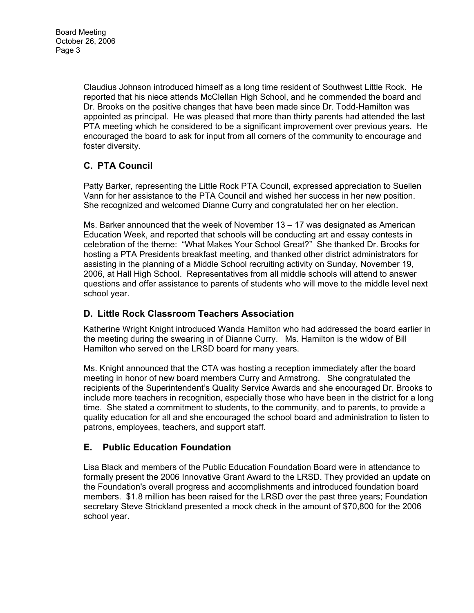Claudius Johnson introduced himself as a long time resident of Southwest Little Rock. He reported that his niece attends McClellan High School, and he commended the board and Dr. Brooks on the positive changes that have been made since Dr. Todd-Hamilton was appointed as principal. He was pleased that more than thirty parents had attended the last PTA meeting which he considered to be a significant improvement over previous years. He encouraged the board to ask for input from all corners of the community to encourage and foster diversity.

# **C. PTA Council**

Patty Barker, representing the Little Rock PTA Council, expressed appreciation to Suellen Vann for her assistance to the PTA Council and wished her success in her new position. She recognized and welcomed Dianne Curry and congratulated her on her election.

Ms. Barker announced that the week of November 13 – 17 was designated as American Education Week, and reported that schools will be conducting art and essay contests in celebration of the theme: "What Makes Your School Great?" She thanked Dr. Brooks for hosting a PTA Presidents breakfast meeting, and thanked other district administrators for assisting in the planning of a Middle School recruiting activity on Sunday, November 19, 2006, at Hall High School. Representatives from all middle schools will attend to answer questions and offer assistance to parents of students who will move to the middle level next school year.

## **D. Little Rock Classroom Teachers Association**

Katherine Wright Knight introduced Wanda Hamilton who had addressed the board earlier in the meeting during the swearing in of Dianne Curry. Ms. Hamilton is the widow of Bill Hamilton who served on the LRSD board for many years.

Ms. Knight announced that the CTA was hosting a reception immediately after the board meeting in honor of new board members Curry and Armstrong. She congratulated the recipients of the Superintendent's Quality Service Awards and she encouraged Dr. Brooks to include more teachers in recognition, especially those who have been in the district for a long time. She stated a commitment to students, to the community, and to parents, to provide a quality education for all and she encouraged the school board and administration to listen to patrons, employees, teachers, and support staff.

## **E. Public Education Foundation**

Lisa Black and members of the Public Education Foundation Board were in attendance to formally present the 2006 Innovative Grant Award to the LRSD. They provided an update on the Foundation's overall progress and accomplishments and introduced foundation board members. \$1.8 million has been raised for the LRSD over the past three years; Foundation secretary Steve Strickland presented a mock check in the amount of \$70,800 for the 2006 school year.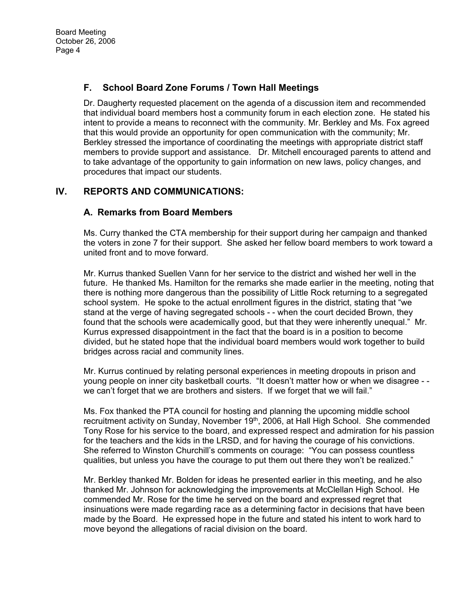## **F. School Board Zone Forums / Town Hall Meetings**

Dr. Daugherty requested placement on the agenda of a discussion item and recommended that individual board members host a community forum in each election zone. He stated his intent to provide a means to reconnect with the community. Mr. Berkley and Ms. Fox agreed that this would provide an opportunity for open communication with the community; Mr. Berkley stressed the importance of coordinating the meetings with appropriate district staff members to provide support and assistance. Dr. Mitchell encouraged parents to attend and to take advantage of the opportunity to gain information on new laws, policy changes, and procedures that impact our students.

## **IV. REPORTS AND COMMUNICATIONS:**

## **A. Remarks from Board Members**

Ms. Curry thanked the CTA membership for their support during her campaign and thanked the voters in zone 7 for their support. She asked her fellow board members to work toward a united front and to move forward.

Mr. Kurrus thanked Suellen Vann for her service to the district and wished her well in the future. He thanked Ms. Hamilton for the remarks she made earlier in the meeting, noting that there is nothing more dangerous than the possibility of Little Rock returning to a segregated school system. He spoke to the actual enrollment figures in the district, stating that "we stand at the verge of having segregated schools - - when the court decided Brown, they found that the schools were academically good, but that they were inherently unequal." Mr. Kurrus expressed disappointment in the fact that the board is in a position to become divided, but he stated hope that the individual board members would work together to build bridges across racial and community lines.

Mr. Kurrus continued by relating personal experiences in meeting dropouts in prison and young people on inner city basketball courts. "It doesn't matter how or when we disagree - we can't forget that we are brothers and sisters. If we forget that we will fail."

Ms. Fox thanked the PTA council for hosting and planning the upcoming middle school recruitment activity on Sunday, November 19<sup>th</sup>, 2006, at Hall High School. She commended Tony Rose for his service to the board, and expressed respect and admiration for his passion for the teachers and the kids in the LRSD, and for having the courage of his convictions. She referred to Winston Churchill's comments on courage: "You can possess countless qualities, but unless you have the courage to put them out there they won't be realized."

Mr. Berkley thanked Mr. Bolden for ideas he presented earlier in this meeting, and he also thanked Mr. Johnson for acknowledging the improvements at McClellan High School. He commended Mr. Rose for the time he served on the board and expressed regret that insinuations were made regarding race as a determining factor in decisions that have been made by the Board. He expressed hope in the future and stated his intent to work hard to move beyond the allegations of racial division on the board.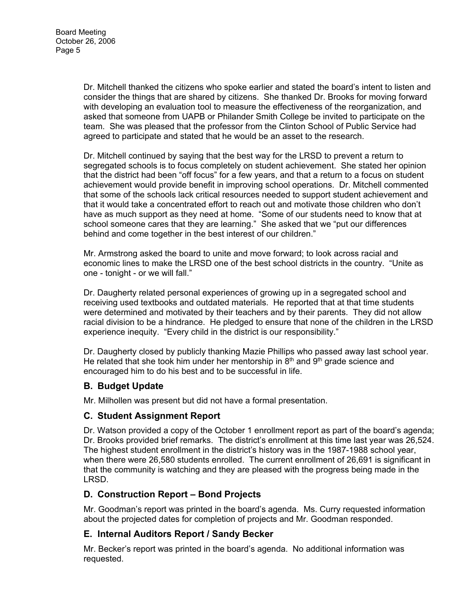Dr. Mitchell thanked the citizens who spoke earlier and stated the board's intent to listen and consider the things that are shared by citizens. She thanked Dr. Brooks for moving forward with developing an evaluation tool to measure the effectiveness of the reorganization, and asked that someone from UAPB or Philander Smith College be invited to participate on the team. She was pleased that the professor from the Clinton School of Public Service had agreed to participate and stated that he would be an asset to the research.

Dr. Mitchell continued by saying that the best way for the LRSD to prevent a return to segregated schools is to focus completely on student achievement. She stated her opinion that the district had been "off focus" for a few years, and that a return to a focus on student achievement would provide benefit in improving school operations. Dr. Mitchell commented that some of the schools lack critical resources needed to support student achievement and that it would take a concentrated effort to reach out and motivate those children who don't have as much support as they need at home. "Some of our students need to know that at school someone cares that they are learning." She asked that we "put our differences behind and come together in the best interest of our children."

Mr. Armstrong asked the board to unite and move forward; to look across racial and economic lines to make the LRSD one of the best school districts in the country. "Unite as one - tonight - or we will fall."

Dr. Daugherty related personal experiences of growing up in a segregated school and receiving used textbooks and outdated materials. He reported that at that time students were determined and motivated by their teachers and by their parents. They did not allow racial division to be a hindrance. He pledged to ensure that none of the children in the LRSD experience inequity. "Every child in the district is our responsibility."

Dr. Daugherty closed by publicly thanking Mazie Phillips who passed away last school year. He related that she took him under her mentorship in  $8<sup>th</sup>$  and  $9<sup>th</sup>$  grade science and encouraged him to do his best and to be successful in life.

## **B. Budget Update**

Mr. Milhollen was present but did not have a formal presentation.

## **C. Student Assignment Report**

Dr. Watson provided a copy of the October 1 enrollment report as part of the board's agenda; Dr. Brooks provided brief remarks. The district's enrollment at this time last year was 26,524. The highest student enrollment in the district's history was in the 1987-1988 school year, when there were 26,580 students enrolled. The current enrollment of 26,691 is significant in that the community is watching and they are pleased with the progress being made in the LRSD.

## **D. Construction Report – Bond Projects**

Mr. Goodman's report was printed in the board's agenda. Ms. Curry requested information about the projected dates for completion of projects and Mr. Goodman responded.

## **E. Internal Auditors Report / Sandy Becker**

Mr. Becker's report was printed in the board's agenda. No additional information was requested.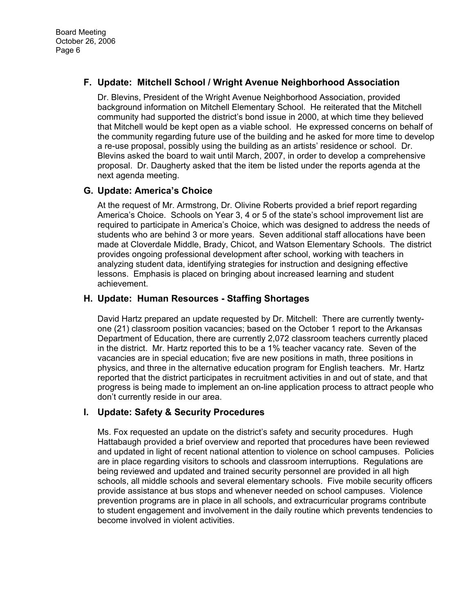## **F. Update: Mitchell School / Wright Avenue Neighborhood Association**

Dr. Blevins, President of the Wright Avenue Neighborhood Association, provided background information on Mitchell Elementary School. He reiterated that the Mitchell community had supported the district's bond issue in 2000, at which time they believed that Mitchell would be kept open as a viable school. He expressed concerns on behalf of the community regarding future use of the building and he asked for more time to develop a re-use proposal, possibly using the building as an artists' residence or school. Dr. Blevins asked the board to wait until March, 2007, in order to develop a comprehensive proposal. Dr. Daugherty asked that the item be listed under the reports agenda at the next agenda meeting.

#### **G. Update: America's Choice**

At the request of Mr. Armstrong, Dr. Olivine Roberts provided a brief report regarding America's Choice. Schools on Year 3, 4 or 5 of the state's school improvement list are required to participate in America's Choice, which was designed to address the needs of students who are behind 3 or more years. Seven additional staff allocations have been made at Cloverdale Middle, Brady, Chicot, and Watson Elementary Schools. The district provides ongoing professional development after school, working with teachers in analyzing student data, identifying strategies for instruction and designing effective lessons. Emphasis is placed on bringing about increased learning and student achievement.

#### **H. Update: Human Resources - Staffing Shortages**

David Hartz prepared an update requested by Dr. Mitchell: There are currently twentyone (21) classroom position vacancies; based on the October 1 report to the Arkansas Department of Education, there are currently 2,072 classroom teachers currently placed in the district. Mr. Hartz reported this to be a 1% teacher vacancy rate. Seven of the vacancies are in special education; five are new positions in math, three positions in physics, and three in the alternative education program for English teachers. Mr. Hartz reported that the district participates in recruitment activities in and out of state, and that progress is being made to implement an on-line application process to attract people who don't currently reside in our area.

## **I. Update: Safety & Security Procedures**

Ms. Fox requested an update on the district's safety and security procedures. Hugh Hattabaugh provided a brief overview and reported that procedures have been reviewed and updated in light of recent national attention to violence on school campuses. Policies are in place regarding visitors to schools and classroom interruptions. Regulations are being reviewed and updated and trained security personnel are provided in all high schools, all middle schools and several elementary schools. Five mobile security officers provide assistance at bus stops and whenever needed on school campuses. Violence prevention programs are in place in all schools, and extracurricular programs contribute to student engagement and involvement in the daily routine which prevents tendencies to become involved in violent activities.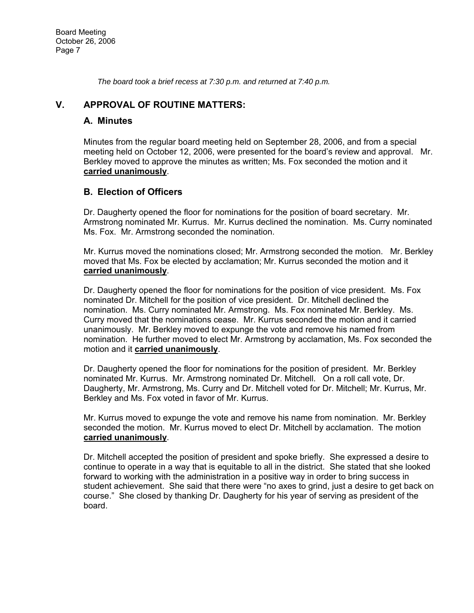*The board took a brief recess at 7:30 p.m. and returned at 7:40 p.m.* 

## **V. APPROVAL OF ROUTINE MATTERS:**

## **A. Minutes**

Minutes from the regular board meeting held on September 28, 2006, and from a special meeting held on October 12, 2006, were presented for the board's review and approval. Mr. Berkley moved to approve the minutes as written; Ms. Fox seconded the motion and it **carried unanimously**.

## **B. Election of Officers**

Dr. Daugherty opened the floor for nominations for the position of board secretary. Mr. Armstrong nominated Mr. Kurrus. Mr. Kurrus declined the nomination. Ms. Curry nominated Ms. Fox. Mr. Armstrong seconded the nomination.

Mr. Kurrus moved the nominations closed; Mr. Armstrong seconded the motion. Mr. Berkley moved that Ms. Fox be elected by acclamation; Mr. Kurrus seconded the motion and it **carried unanimously**.

Dr. Daugherty opened the floor for nominations for the position of vice president. Ms. Fox nominated Dr. Mitchell for the position of vice president. Dr. Mitchell declined the nomination. Ms. Curry nominated Mr. Armstrong. Ms. Fox nominated Mr. Berkley. Ms. Curry moved that the nominations cease. Mr. Kurrus seconded the motion and it carried unanimously. Mr. Berkley moved to expunge the vote and remove his named from nomination. He further moved to elect Mr. Armstrong by acclamation, Ms. Fox seconded the motion and it **carried unanimously**.

Dr. Daugherty opened the floor for nominations for the position of president. Mr. Berkley nominated Mr. Kurrus. Mr. Armstrong nominated Dr. Mitchell. On a roll call vote, Dr. Daugherty, Mr. Armstrong, Ms. Curry and Dr. Mitchell voted for Dr. Mitchell; Mr. Kurrus, Mr. Berkley and Ms. Fox voted in favor of Mr. Kurrus.

Mr. Kurrus moved to expunge the vote and remove his name from nomination. Mr. Berkley seconded the motion. Mr. Kurrus moved to elect Dr. Mitchell by acclamation. The motion **carried unanimously**.

Dr. Mitchell accepted the position of president and spoke briefly. She expressed a desire to continue to operate in a way that is equitable to all in the district. She stated that she looked forward to working with the administration in a positive way in order to bring success in student achievement. She said that there were "no axes to grind, just a desire to get back on course." She closed by thanking Dr. Daugherty for his year of serving as president of the board.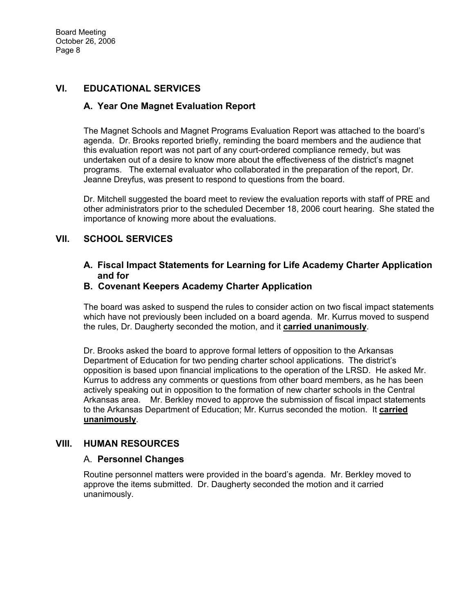## **VI. EDUCATIONAL SERVICES**

## **A. Year One Magnet Evaluation Report**

The Magnet Schools and Magnet Programs Evaluation Report was attached to the board's agenda. Dr. Brooks reported briefly, reminding the board members and the audience that this evaluation report was not part of any court-ordered compliance remedy, but was undertaken out of a desire to know more about the effectiveness of the district's magnet programs. The external evaluator who collaborated in the preparation of the report, Dr. Jeanne Dreyfus, was present to respond to questions from the board.

Dr. Mitchell suggested the board meet to review the evaluation reports with staff of PRE and other administrators prior to the scheduled December 18, 2006 court hearing. She stated the importance of knowing more about the evaluations.

## **VII. SCHOOL SERVICES**

## **A. Fiscal Impact Statements for Learning for Life Academy Charter Application and for**

## **B. Covenant Keepers Academy Charter Application**

The board was asked to suspend the rules to consider action on two fiscal impact statements which have not previously been included on a board agenda. Mr. Kurrus moved to suspend the rules, Dr. Daugherty seconded the motion, and it **carried unanimously**.

Dr. Brooks asked the board to approve formal letters of opposition to the Arkansas Department of Education for two pending charter school applications. The district's opposition is based upon financial implications to the operation of the LRSD. He asked Mr. Kurrus to address any comments or questions from other board members, as he has been actively speaking out in opposition to the formation of new charter schools in the Central Arkansas area. Mr. Berkley moved to approve the submission of fiscal impact statements to the Arkansas Department of Education; Mr. Kurrus seconded the motion. It **carried unanimously**.

## **VIII. HUMAN RESOURCES**

#### A. **Personnel Changes**

Routine personnel matters were provided in the board's agenda. Mr. Berkley moved to approve the items submitted. Dr. Daugherty seconded the motion and it carried unanimously.